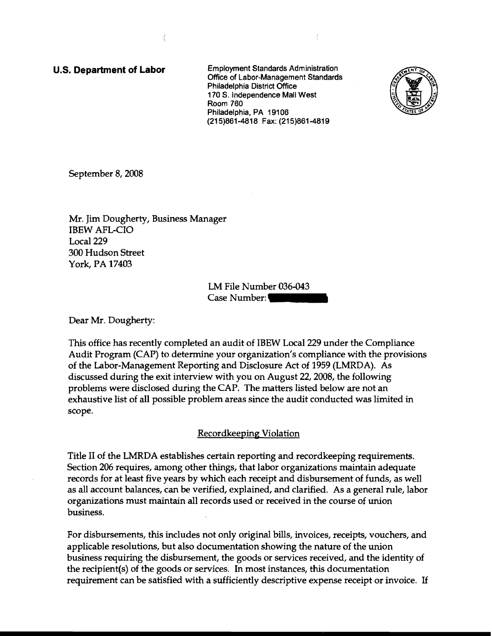**u.s. Department of Labor** Employment Standards Administration Office of Labor-Management Standards Philadelphia District Office 170 S. Independence Mall West Room 760 Philadelphia, PA 19106 (215)861-4818 Fax: (215)861-4819



September 8, 2008

Mr. Jim Dougherty, Business Manager IBEW AFL-CIO Local 229 300 Hudson Street York, PA 17403

LM File Number 036-043 Case **Number:••••** 

Dear Mr. Dougherty:

This office has recently completed an audit of IBEW Local 229 under the Compliance Audit Program (CAP) to determine your organization's compliance with the provisions of the Labor-Management Reporting and Disclosure Act of 1959 (LMRDA). As discussed during the exit interview with you on August 22, 2008, the following problems were disclosed during the CAP. The matters listed below are not an exhaustive list of all possible problem areas since the audit conducted was limited in scope.

## Recordkeeping Violation

Title II of the LMRDA establishes certain reporting and recordkeeping requirements. Section 206 requires, among other things, that labor organizations maintain adequate records for at least five years by which each receipt and disbursement of funds, as well as all account balances, can be verified, explained, and clarified. As a general rule, labor organizations must maintain all records used or received in the course of union business.

For disbursements, this includes not only original bills, invoices, receipts, vouchers, and applicable resolutions, but also documentation showing the nature of the union business requiring the disbursement, the goods or services received, and the identity of the recipient(s) of the goods or services. In most instances, this documentation requirement can be satisfied with a sufficiently descriptive expense receipt or invoice. If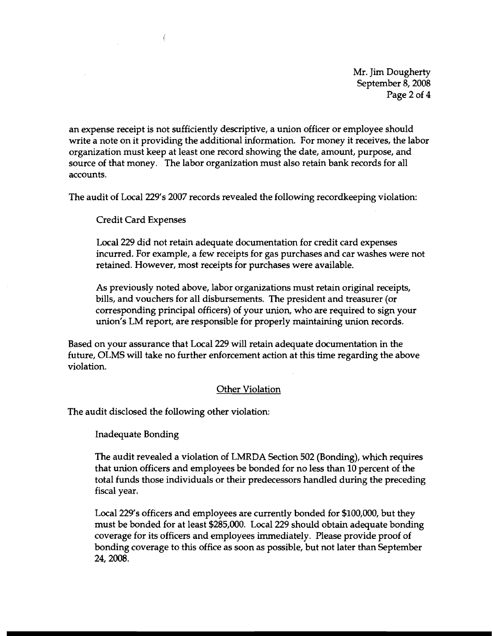Mr. Jim Dougherty September 8, 2008 Page 2 of 4

an expense receipt is not sufficiently descriptive, a union officer or employee should write a note on it providing the additional information. For money it receives, the labor organization must keep at least one record showing the date, amount, purpose, and source of that money. The labor organization must also retain bank records for all accounts.

The audit of Local 229's 2007 records revealed the following recordkeeping violation:

Credit Card Expenses

 $\left($ 

Local 229 did not retain adequate documentation for credit card expenses incurred. For example, a few receipts for gas purchases and car washes were not retained. However, most receipts for purchases were available.

As previously noted above, labor organizations must retain original receipts, bills, and vouchers for all disbursements. The president and treasurer (or corresponding principal officers) of your union, who are required to sign your union's LM report, are responsible for properly maintaining union records.

Based on your assurance that Local 229 will retain adequate documentation in the future, OLMS will take no further enforcement action at this time regarding the above violation.

## Other Violation

The audit disclosed the following other violation:

Inadequate Bonding

The audit revealed a violation of LMRDA Section 502 (Bonding), which requires that union officers and employees be bonded for no less than 10 percent of the total funds those individuals or their predecessors handled during the preceding fiscal year.

Local 229's officers and employees are currently bonded for \$100,000, but they must be bonded for at least \$285,000. Local 229 should obtain adequate bonding coverage for its officers and employees immediately. Please provide proof of bonding coverage to this office as soon as possible, but not later than September 24,2008.